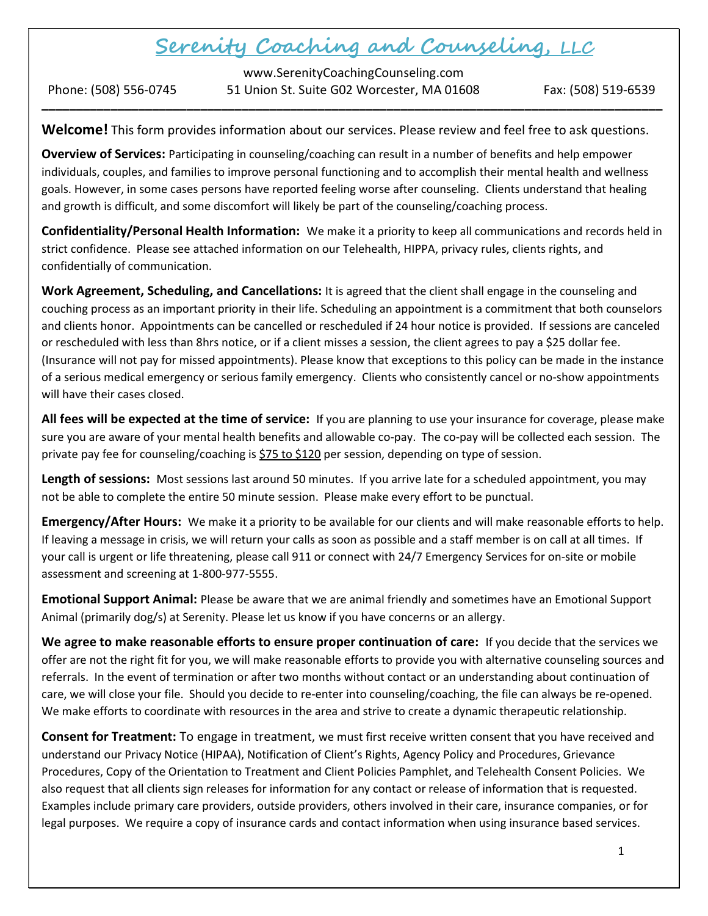# Serenity Coaching and Counseling, LLC

www.SerenityCoachingCounseling.com Phone: (508) 556-0745 51 Union St. Suite G02 Worcester, MA 01608 Fax: (508) 519-6539 \_\_\_\_\_\_\_\_\_\_\_\_\_\_\_\_\_\_\_\_\_\_\_\_\_\_\_\_\_\_\_\_\_\_\_\_\_\_\_\_\_\_\_\_\_\_\_\_\_\_\_\_\_\_\_\_\_\_\_\_\_\_\_\_\_\_\_\_\_\_\_\_\_\_\_\_\_\_\_\_\_\_\_\_\_\_\_\_\_\_

Welcome! This form provides information about our services. Please review and feel free to ask questions.

Overview of Services: Participating in counseling/coaching can result in a number of benefits and help empower individuals, couples, and families to improve personal functioning and to accomplish their mental health and wellness goals. However, in some cases persons have reported feeling worse after counseling. Clients understand that healing and growth is difficult, and some discomfort will likely be part of the counseling/coaching process.

Confidentiality/Personal Health Information: We make it a priority to keep all communications and records held in strict confidence. Please see attached information on our Telehealth, HIPPA, privacy rules, clients rights, and confidentially of communication.

Work Agreement, Scheduling, and Cancellations: It is agreed that the client shall engage in the counseling and couching process as an important priority in their life. Scheduling an appointment is a commitment that both counselors and clients honor. Appointments can be cancelled or rescheduled if 24 hour notice is provided. If sessions are canceled or rescheduled with less than 8hrs notice, or if a client misses a session, the client agrees to pay a \$25 dollar fee. (Insurance will not pay for missed appointments). Please know that exceptions to this policy can be made in the instance of a serious medical emergency or serious family emergency. Clients who consistently cancel or no-show appointments will have their cases closed.

All fees will be expected at the time of service: If you are planning to use your insurance for coverage, please make sure you are aware of your mental health benefits and allowable co-pay. The co-pay will be collected each session. The private pay fee for counseling/coaching is  $$75$  to \$120 per session, depending on type of session.

Length of sessions: Most sessions last around 50 minutes. If you arrive late for a scheduled appointment, you may not be able to complete the entire 50 minute session. Please make every effort to be punctual.

Emergency/After Hours: We make it a priority to be available for our clients and will make reasonable efforts to help. If leaving a message in crisis, we will return your calls as soon as possible and a staff member is on call at all times. If your call is urgent or life threatening, please call 911 or connect with 24/7 Emergency Services for on-site or mobile assessment and screening at 1-800-977-5555.

Emotional Support Animal: Please be aware that we are animal friendly and sometimes have an Emotional Support Animal (primarily dog/s) at Serenity. Please let us know if you have concerns or an allergy.

We agree to make reasonable efforts to ensure proper continuation of care: If you decide that the services we offer are not the right fit for you, we will make reasonable efforts to provide you with alternative counseling sources and referrals. In the event of termination or after two months without contact or an understanding about continuation of care, we will close your file. Should you decide to re-enter into counseling/coaching, the file can always be re-opened. We make efforts to coordinate with resources in the area and strive to create a dynamic therapeutic relationship.

Consent for Treatment: To engage in treatment, we must first receive written consent that you have received and understand our Privacy Notice (HIPAA), Notification of Client's Rights, Agency Policy and Procedures, Grievance Procedures, Copy of the Orientation to Treatment and Client Policies Pamphlet, and Telehealth Consent Policies. We also request that all clients sign releases for information for any contact or release of information that is requested. Examples include primary care providers, outside providers, others involved in their care, insurance companies, or for legal purposes. We require a copy of insurance cards and contact information when using insurance based services.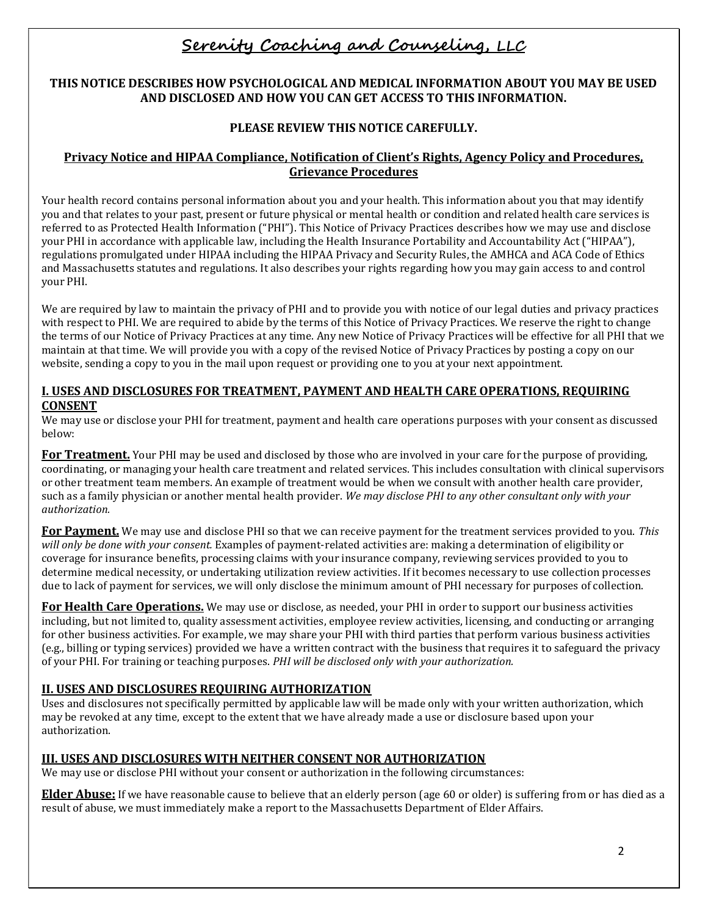# Serenity Coaching and Counseling, LLC

# THIS NOTICE DESCRIBES HOW PSYCHOLOGICAL AND MEDICAL INFORMATION ABOUT YOU MAY BE USED AND DISCLOSED AND HOW YOU CAN GET ACCESS TO THIS INFORMATION.

# PLEASE REVIEW THIS NOTICE CAREFULLY.

# Privacy Notice and HIPAA Compliance, Notification of Client's Rights, Agency Policy and Procedures, Grievance Procedures

Your health record contains personal information about you and your health. This information about you that may identify you and that relates to your past, present or future physical or mental health or condition and related health care services is referred to as Protected Health Information ("PHI"). This Notice of Privacy Practices describes how we may use and disclose your PHI in accordance with applicable law, including the Health Insurance Portability and Accountability Act ("HIPAA"), regulations promulgated under HIPAA including the HIPAA Privacy and Security Rules, the AMHCA and ACA Code of Ethics and Massachusetts statutes and regulations. It also describes your rights regarding how you may gain access to and control your PHI.

We are required by law to maintain the privacy of PHI and to provide you with notice of our legal duties and privacy practices with respect to PHI. We are required to abide by the terms of this Notice of Privacy Practices. We reserve the right to change the terms of our Notice of Privacy Practices at any time. Any new Notice of Privacy Practices will be effective for all PHI that we maintain at that time. We will provide you with a copy of the revised Notice of Privacy Practices by posting a copy on our website, sending a copy to you in the mail upon request or providing one to you at your next appointment.

#### I. USES AND DISCLOSURES FOR TREATMENT, PAYMENT AND HEALTH CARE OPERATIONS, REQUIRING CONSENT

We may use or disclose your PHI for treatment, payment and health care operations purposes with your consent as discussed below:

For Treatment. Your PHI may be used and disclosed by those who are involved in your care for the purpose of providing, coordinating, or managing your health care treatment and related services. This includes consultation with clinical supervisors or other treatment team members. An example of treatment would be when we consult with another health care provider, such as a family physician or another mental health provider. We may disclose PHI to any other consultant only with your authorization.

For Payment. We may use and disclose PHI so that we can receive payment for the treatment services provided to you. This will only be done with your consent. Examples of payment-related activities are: making a determination of eligibility or coverage for insurance benefits, processing claims with your insurance company, reviewing services provided to you to determine medical necessity, or undertaking utilization review activities. If it becomes necessary to use collection processes due to lack of payment for services, we will only disclose the minimum amount of PHI necessary for purposes of collection.

For Health Care Operations. We may use or disclose, as needed, your PHI in order to support our business activities including, but not limited to, quality assessment activities, employee review activities, licensing, and conducting or arranging for other business activities. For example, we may share your PHI with third parties that perform various business activities (e.g., billing or typing services) provided we have a written contract with the business that requires it to safeguard the privacy of your PHI. For training or teaching purposes. PHI will be disclosed only with your authorization.

# II. USES AND DISCLOSURES REQUIRING AUTHORIZATION

Uses and disclosures not specifically permitted by applicable law will be made only with your written authorization, which may be revoked at any time, except to the extent that we have already made a use or disclosure based upon your authorization.

# III. USES AND DISCLOSURES WITH NEITHER CONSENT NOR AUTHORIZATION

We may use or disclose PHI without your consent or authorization in the following circumstances:

Elder Abuse: If we have reasonable cause to believe that an elderly person (age 60 or older) is suffering from or has died as a result of abuse, we must immediately make a report to the Massachusetts Department of Elder Affairs.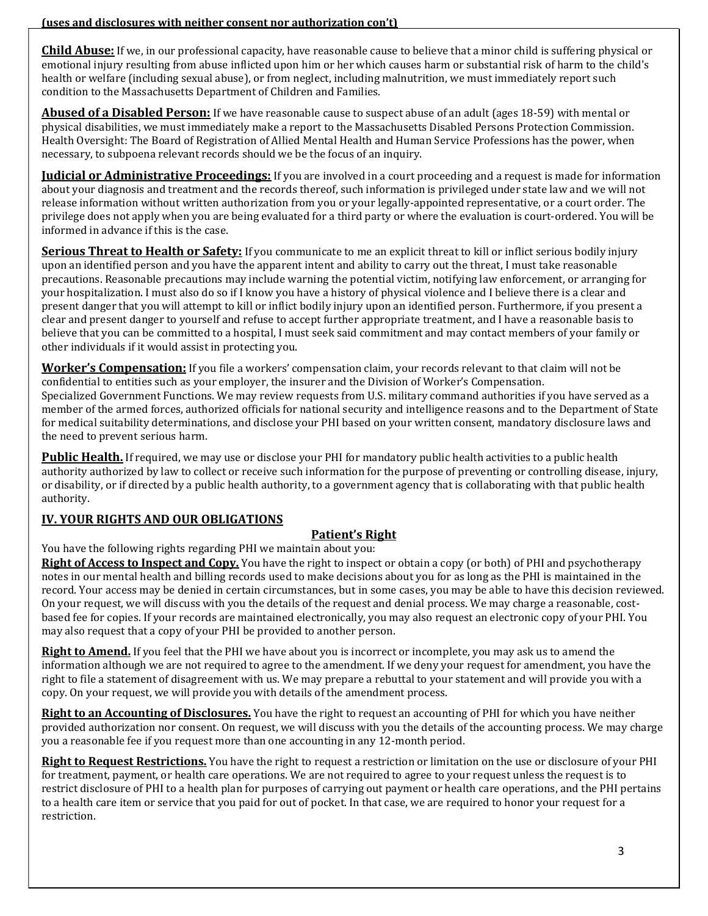(uses and disclosures with neither consent nor authorization con't)

**Child Abuse:** If we, in our professional capacity, have reasonable cause to believe that a minor child is suffering physical or emotional injury resulting from abuse inflicted upon him or her which causes harm or substantial risk of harm to the child's health or welfare (including sexual abuse), or from neglect, including malnutrition, we must immediately report such condition to the Massachusetts Department of Children and Families.

**Abused of a Disabled Person:** If we have reasonable cause to suspect abuse of an adult (ages 18-59) with mental or physical disabilities, we must immediately make a report to the Massachusetts Disabled Persons Protection Commission. Health Oversight: The Board of Registration of Allied Mental Health and Human Service Professions has the power, when necessary, to subpoena relevant records should we be the focus of an inquiry.

**Judicial or Administrative Proceedings:** If you are involved in a court proceeding and a request is made for information about your diagnosis and treatment and the records thereof, such information is privileged under state law and we will not release information without written authorization from you or your legally-appointed representative, or a court order. The privilege does not apply when you are being evaluated for a third party or where the evaluation is court-ordered. You will be informed in advance if this is the case.

Serious Threat to Health or Safety: If you communicate to me an explicit threat to kill or inflict serious bodily injury upon an identified person and you have the apparent intent and ability to carry out the threat, I must take reasonable precautions. Reasonable precautions may include warning the potential victim, notifying law enforcement, or arranging for your hospitalization. I must also do so if I know you have a history of physical violence and I believe there is a clear and present danger that you will attempt to kill or inflict bodily injury upon an identified person. Furthermore, if you present a clear and present danger to yourself and refuse to accept further appropriate treatment, and I have a reasonable basis to believe that you can be committed to a hospital, I must seek said commitment and may contact members of your family or other individuals if it would assist in protecting you.

Worker's Compensation: If you file a workers' compensation claim, your records relevant to that claim will not be confidential to entities such as your employer, the insurer and the Division of Worker's Compensation. Specialized Government Functions. We may review requests from U.S. military command authorities if you have served as a member of the armed forces, authorized officials for national security and intelligence reasons and to the Department of State for medical suitability determinations, and disclose your PHI based on your written consent, mandatory disclosure laws and the need to prevent serious harm.

Public Health. If required, we may use or disclose your PHI for mandatory public health activities to a public health authority authorized by law to collect or receive such information for the purpose of preventing or controlling disease, injury, or disability, or if directed by a public health authority, to a government agency that is collaborating with that public health authority.

# IV. YOUR RIGHTS AND OUR OBLIGATIONS

# Patient's Right

You have the following rights regarding PHI we maintain about you:

Right of Access to Inspect and Copy. You have the right to inspect or obtain a copy (or both) of PHI and psychotherapy notes in our mental health and billing records used to make decisions about you for as long as the PHI is maintained in the record. Your access may be denied in certain circumstances, but in some cases, you may be able to have this decision reviewed. On your request, we will discuss with you the details of the request and denial process. We may charge a reasonable, costbased fee for copies. If your records are maintained electronically, you may also request an electronic copy of your PHI. You may also request that a copy of your PHI be provided to another person.

Right to Amend. If you feel that the PHI we have about you is incorrect or incomplete, you may ask us to amend the information although we are not required to agree to the amendment. If we deny your request for amendment, you have the right to file a statement of disagreement with us. We may prepare a rebuttal to your statement and will provide you with a copy. On your request, we will provide you with details of the amendment process.

Right to an Accounting of Disclosures. You have the right to request an accounting of PHI for which you have neither provided authorization nor consent. On request, we will discuss with you the details of the accounting process. We may charge you a reasonable fee if you request more than one accounting in any 12-month period.

Right to Request Restrictions. You have the right to request a restriction or limitation on the use or disclosure of your PHI for treatment, payment, or health care operations. We are not required to agree to your request unless the request is to restrict disclosure of PHI to a health plan for purposes of carrying out payment or health care operations, and the PHI pertains to a health care item or service that you paid for out of pocket. In that case, we are required to honor your request for a restriction.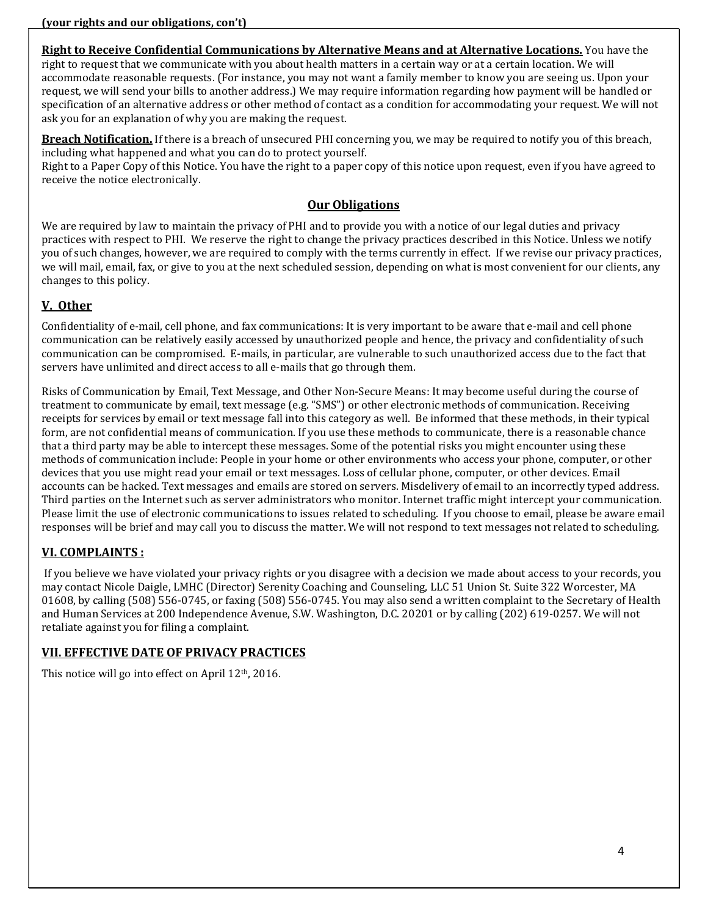#### (your rights and our obligations, con't)

Right to Receive Confidential Communications by Alternative Means and at Alternative Locations. You have the

right to request that we communicate with you about health matters in a certain way or at a certain location. We will accommodate reasonable requests. (For instance, you may not want a family member to know you are seeing us. Upon your request, we will send your bills to another address.) We may require information regarding how payment will be handled or specification of an alternative address or other method of contact as a condition for accommodating your request. We will not ask you for an explanation of why you are making the request.

Breach Notification. If there is a breach of unsecured PHI concerning you, we may be required to notify you of this breach, including what happened and what you can do to protect yourself.

Right to a Paper Copy of this Notice. You have the right to a paper copy of this notice upon request, even if you have agreed to receive the notice electronically.

#### Our Obligations

We are required by law to maintain the privacy of PHI and to provide you with a notice of our legal duties and privacy practices with respect to PHI. We reserve the right to change the privacy practices described in this Notice. Unless we notify you of such changes, however, we are required to comply with the terms currently in effect. If we revise our privacy practices, we will mail, email, fax, or give to you at the next scheduled session, depending on what is most convenient for our clients, any changes to this policy.

# V. Other

Confidentiality of e-mail, cell phone, and fax communications: It is very important to be aware that e-mail and cell phone communication can be relatively easily accessed by unauthorized people and hence, the privacy and confidentiality of such communication can be compromised. E-mails, in particular, are vulnerable to such unauthorized access due to the fact that servers have unlimited and direct access to all e-mails that go through them.

Risks of Communication by Email, Text Message, and Other Non-Secure Means: It may become useful during the course of treatment to communicate by email, text message (e.g. "SMS") or other electronic methods of communication. Receiving receipts for services by email or text message fall into this category as well. Be informed that these methods, in their typical form, are not confidential means of communication. If you use these methods to communicate, there is a reasonable chance that a third party may be able to intercept these messages. Some of the potential risks you might encounter using these methods of communication include: People in your home or other environments who access your phone, computer, or other devices that you use might read your email or text messages. Loss of cellular phone, computer, or other devices. Email accounts can be hacked. Text messages and emails are stored on servers. Misdelivery of email to an incorrectly typed address. Third parties on the Internet such as server administrators who monitor. Internet traffic might intercept your communication. Please limit the use of electronic communications to issues related to scheduling. If you choose to email, please be aware email responses will be brief and may call you to discuss the matter. We will not respond to text messages not related to scheduling.

# VI. COMPLAINTS :

If you believe we have violated your privacy rights or you disagree with a decision we made about access to your records, you may contact Nicole Daigle, LMHC (Director) Serenity Coaching and Counseling, LLC 51 Union St. Suite 322 Worcester, MA 01608, by calling (508) 556-0745, or faxing (508) 556-0745. You may also send a written complaint to the Secretary of Health and Human Services at 200 Independence Avenue, S.W. Washington, D.C. 20201 or by calling (202) 619-0257. We will not retaliate against you for filing a complaint.

# VII. EFFECTIVE DATE OF PRIVACY PRACTICES

This notice will go into effect on April 12<sup>th</sup>, 2016.